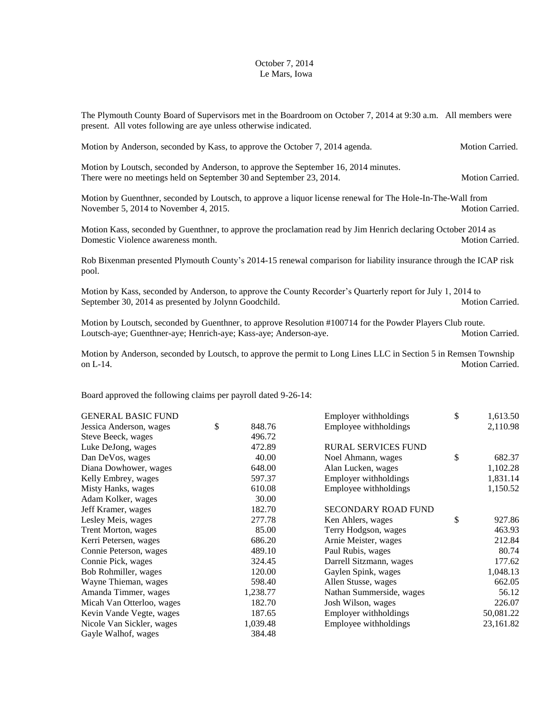## October 7, 2014 Le Mars, Iowa

The Plymouth County Board of Supervisors met in the Boardroom on October 7, 2014 at 9:30 a.m. All members were present. All votes following are aye unless otherwise indicated.

| Motion by Anderson, seconded by Kass, to approve the October 7, 2014 agenda.                                  | <b>Motion Carried.</b> |  |
|---------------------------------------------------------------------------------------------------------------|------------------------|--|
| Motion by Loutsch, seconded by Anderson, to approve the September 16, 2014 minutes.                           |                        |  |
| There were no meetings held on September 30 and September 23, 2014.                                           | <b>Motion Carried.</b> |  |
| Motion by Guenthner, seconded by Loutsch, to approve a liquor license renewal for The Hole-In-The-Wall from   |                        |  |
| November 5, 2014 to November 4, 2015.                                                                         | <b>Motion Carried.</b> |  |
| Motion Kass, seconded by Guenthner, to approve the proclamation read by Jim Henrich declaring October 2014 as |                        |  |
| Domestic Violence awareness month.                                                                            | <b>Motion Carried.</b> |  |
| n 1 n'<br>$1 \text{ N}$ $1 \text{ N}$ $1 \text{ N}$ $1 \text{ N}$                                             |                        |  |

Rob Bixenman presented Plymouth County's 2014-15 renewal comparison for liability insurance through the ICAP risk pool.

Motion by Kass, seconded by Anderson, to approve the County Recorder's Quarterly report for July 1, 2014 to September 30, 2014 as presented by Jolynn Goodchild. Motion Carried. Motion Carried.

Motion by Loutsch, seconded by Guenthner, to approve Resolution #100714 for the Powder Players Club route. Loutsch-aye; Guenthner-aye; Henrich-aye; Kass-aye; Anderson-aye. Motion Carried.

Motion by Anderson, seconded by Loutsch, to approve the permit to Long Lines LLC in Section 5 in Remsen Township on L-14. Motion Carried.

Board approved the following claims per payroll dated 9-26-14:

| <b>GENERAL BASIC FUND</b> |              | Employer withholdings      | \$<br>1,613.50 |
|---------------------------|--------------|----------------------------|----------------|
| Jessica Anderson, wages   | \$<br>848.76 | Employee withholdings      | 2,110.98       |
| Steve Beeck, wages        | 496.72       |                            |                |
| Luke DeJong, wages        | 472.89       | <b>RURAL SERVICES FUND</b> |                |
| Dan DeVos, wages          | 40.00        | Noel Ahmann, wages         | \$<br>682.37   |
| Diana Dowhower, wages     | 648.00       | Alan Lucken, wages         | 1,102.28       |
| Kelly Embrey, wages       | 597.37       | Employer withholdings      | 1,831.14       |
| Misty Hanks, wages        | 610.08       | Employee withholdings      | 1,150.52       |
| Adam Kolker, wages        | 30.00        |                            |                |
| Jeff Kramer, wages        | 182.70       | <b>SECONDARY ROAD FUND</b> |                |
| Lesley Meis, wages        | 277.78       | Ken Ahlers, wages          | \$<br>927.86   |
| Trent Morton, wages       | 85.00        | Terry Hodgson, wages       | 463.93         |
| Kerri Petersen, wages     | 686.20       | Arnie Meister, wages       | 212.84         |
| Connie Peterson, wages    | 489.10       | Paul Rubis, wages          | 80.74          |
| Connie Pick, wages        | 324.45       | Darrell Sitzmann, wages    | 177.62         |
| Bob Rohmiller, wages      | 120.00       | Gaylen Spink, wages        | 1,048.13       |
| Wayne Thieman, wages      | 598.40       | Allen Stusse, wages        | 662.05         |
| Amanda Timmer, wages      | 1,238.77     | Nathan Summerside, wages   | 56.12          |
| Micah Van Otterloo, wages | 182.70       | Josh Wilson, wages         | 226.07         |
| Kevin Vande Vegte, wages  | 187.65       | Employer withholdings      | 50,081.22      |
| Nicole Van Sickler, wages | 1,039.48     | Employee withholdings      | 23,161.82      |
| Gayle Walhof, wages       | 384.48       |                            |                |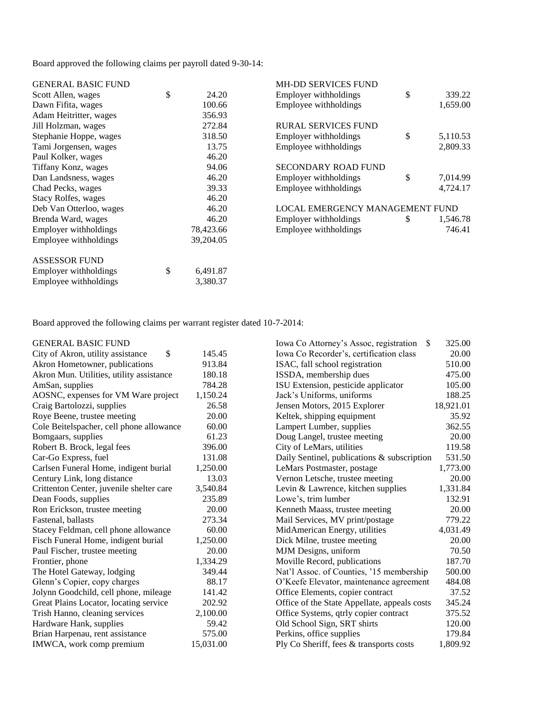Board approved the following claims per payroll dated 9-30-14:

| <b>GENERAL BASIC FUND</b>  |                | <b>MH-DD SERVICES FUND</b>      |                |
|----------------------------|----------------|---------------------------------|----------------|
| Scott Allen, wages         | \$<br>24.20    | Employer withholdings           | \$<br>339.22   |
| Dawn Fifita, wages         | 100.66         | Employee withholdings           | 1,659.00       |
| Adam Heitritter, wages     | 356.93         |                                 |                |
| Jill Holzman, wages        | 272.84         | <b>RURAL SERVICES FUND</b>      |                |
| Stephanie Hoppe, wages     | 318.50         | Employer withholdings           | \$<br>5,110.53 |
| Tami Jorgensen, wages      | 13.75          | Employee withholdings           | 2,809.33       |
| Paul Kolker, wages         | 46.20          |                                 |                |
| Tiffany Konz, wages        | 94.06          | <b>SECONDARY ROAD FUND</b>      |                |
| Dan Landsness, wages       | 46.20          | Employer withholdings           | \$<br>7,014.99 |
| Chad Pecks, wages          | 39.33          | Employee withholdings           | 4,724.17       |
| <b>Stacy Rolfes, wages</b> | 46.20          |                                 |                |
| Deb Van Otterloo, wages    | 46.20          | LOCAL EMERGENCY MANAGEMENT FUND |                |
| Brenda Ward, wages         | 46.20          | Employer withholdings           | \$<br>1,546.78 |
| Employer withholdings      | 78,423.66      | Employee withholdings           | 746.41         |
| Employee withholdings      | 39,204.05      |                                 |                |
| <b>ASSESSOR FUND</b>       |                |                                 |                |
| Employer withholdings      | \$<br>6,491.87 |                                 |                |
| Employee withholdings      | 3,380.37       |                                 |                |

Board approved the following claims per warrant register dated 10-7-2014:

| <b>GENERAL BASIC FUND</b>                |           | Iowa Co Attorney's Assoc, registration<br><sup>\$</sup> | 325.00    |
|------------------------------------------|-----------|---------------------------------------------------------|-----------|
| \$<br>City of Akron, utility assistance  | 145.45    | Iowa Co Recorder's, certification class                 | 20.00     |
| Akron Hometowner, publications           | 913.84    | ISAC, fall school registration                          | 510.00    |
| Akron Mun. Utilities, utility assistance | 180.18    | ISSDA, membership dues                                  | 475.00    |
| AmSan, supplies                          | 784.28    | ISU Extension, pesticide applicator                     | 105.00    |
| AOSNC, expenses for VM Ware project      | 1,150.24  | Jack's Uniforms, uniforms                               | 188.25    |
| Craig Bartolozzi, supplies               | 26.58     | Jensen Motors, 2015 Explorer                            | 18,921.01 |
| Roye Beene, trustee meeting              | 20.00     | Keltek, shipping equipment                              | 35.92     |
| Cole Beitelspacher, cell phone allowance | 60.00     | Lampert Lumber, supplies                                | 362.55    |
| Bomgaars, supplies                       | 61.23     | Doug Langel, trustee meeting                            | 20.00     |
| Robert B. Brock, legal fees              | 396.00    | City of LeMars, utilities                               | 119.58    |
| Car-Go Express, fuel                     | 131.08    | Daily Sentinel, publications & subscription             | 531.50    |
| Carlsen Funeral Home, indigent burial    | 1,250.00  | LeMars Postmaster, postage                              | 1,773.00  |
| Century Link, long distance              | 13.03     | Vernon Letsche, trustee meeting                         | 20.00     |
| Crittenton Center, juvenile shelter care | 3,540.84  | Levin & Lawrence, kitchen supplies                      | 1,331.84  |
| Dean Foods, supplies                     | 235.89    | Lowe's, trim lumber                                     | 132.91    |
| Ron Erickson, trustee meeting            | 20.00     | Kenneth Maass, trustee meeting                          | 20.00     |
| Fastenal, ballasts                       | 273.34    | Mail Services, MV print/postage                         | 779.22    |
| Stacey Feldman, cell phone allowance     | 60.00     | MidAmerican Energy, utilities                           | 4,031.49  |
| Fisch Funeral Home, indigent burial      | 1,250.00  | Dick Milne, trustee meeting                             | 20.00     |
| Paul Fischer, trustee meeting            | 20.00     | MJM Designs, uniform                                    | 70.50     |
| Frontier, phone                          | 1,334.29  | Moville Record, publications                            | 187.70    |
| The Hotel Gateway, lodging               | 349.44    | Nat'l Assoc. of Counties, '15 membership                | 500.00    |
| Glenn's Copier, copy charges             | 88.17     | O'Keefe Elevator, maintenance agreement                 | 484.08    |
| Jolynn Goodchild, cell phone, mileage    | 141.42    | Office Elements, copier contract                        | 37.52     |
| Great Plains Locator, locating service   | 202.92    | Office of the State Appellate, appeals costs            | 345.24    |
| Trish Hanno, cleaning services           | 2,100.00  | Office Systems, qtrly copier contract                   | 375.52    |
| Hardware Hank, supplies                  | 59.42     | Old School Sign, SRT shirts                             | 120.00    |
| Brian Harpenau, rent assistance          | 575.00    | Perkins, office supplies                                | 179.84    |
| IMWCA, work comp premium                 | 15,031.00 | Ply Co Sheriff, fees & transports costs                 | 1,809.92  |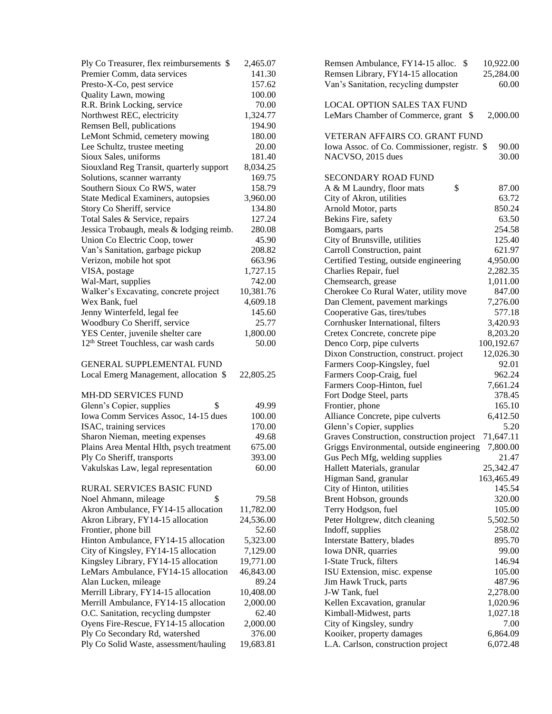| Ply Co Treasurer, flex reimbursements \$                                 | 2,465.07           | Remsen Ambulance, FY14-15 alloc. \$<br>10,922.00                          |
|--------------------------------------------------------------------------|--------------------|---------------------------------------------------------------------------|
| Premier Comm, data services                                              | 141.30             | Remsen Library, FY14-15 allocation<br>25,284.00                           |
| Presto-X-Co, pest service                                                | 157.62             | Van's Sanitation, recycling dumpster<br>60.00                             |
| Quality Lawn, mowing                                                     | 100.00             |                                                                           |
| R.R. Brink Locking, service                                              | 70.00              | <b>LOCAL OPTION SALES TAX FUND</b>                                        |
| Northwest REC, electricity                                               | 1,324.77           | LeMars Chamber of Commerce, grant \$<br>2,000.00                          |
| Remsen Bell, publications                                                | 194.90             |                                                                           |
| LeMont Schmid, cemetery mowing                                           | 180.00             | VETERAN AFFAIRS CO. GRANT FUND                                            |
| Lee Schultz, trustee meeting                                             | 20.00              | Iowa Assoc. of Co. Commissioner, registr. \$<br>90.00                     |
| Sioux Sales, uniforms                                                    | 181.40             | 30.00<br>NACVSO, 2015 dues                                                |
| Siouxland Reg Transit, quarterly support                                 | 8,034.25           |                                                                           |
| Solutions, scanner warranty                                              | 169.75             | <b>SECONDARY ROAD FUND</b>                                                |
| Southern Sioux Co RWS, water                                             | 158.79             | \$<br>A & M Laundry, floor mats<br>87.00                                  |
| <b>State Medical Examiners, autopsies</b>                                | 3,960.00           | City of Akron, utilities<br>63.72                                         |
| Story Co Sheriff, service                                                | 134.80             | Arnold Motor, parts<br>850.24                                             |
| Total Sales & Service, repairs                                           | 127.24             | Bekins Fire, safety<br>63.50                                              |
| Jessica Trobaugh, meals & lodging reimb.                                 | 280.08             | Bomgaars, parts<br>254.58                                                 |
| Union Co Electric Coop, tower                                            | 45.90              | City of Brunsville, utilities<br>125.40                                   |
| Van's Sanitation, garbage pickup                                         | 208.82             | Carroll Construction, paint<br>621.97                                     |
| Verizon, mobile hot spot                                                 | 663.96             | Certified Testing, outside engineering<br>4,950.00                        |
| VISA, postage                                                            | 1,727.15           | Charlies Repair, fuel<br>2,282.35                                         |
| Wal-Mart, supplies                                                       | 742.00             | Chemsearch, grease<br>1,011.00                                            |
| Walker's Excavating, concrete project                                    | 10,381.76          | Cherokee Co Rural Water, utility move<br>847.00                           |
| Wex Bank, fuel                                                           | 4,609.18           | Dan Clement, pavement markings<br>7,276.00                                |
| Jenny Winterfeld, legal fee                                              | 145.60             | Cooperative Gas, tires/tubes<br>577.18                                    |
| Woodbury Co Sheriff, service                                             | 25.77              | Cornhusker International, filters<br>3,420.93                             |
| YES Center, juvenile shelter care                                        | 1,800.00           | 8,203.20<br>Cretex Concrete, concrete pipe                                |
| 12 <sup>th</sup> Street Touchless, car wash cards                        | 50.00              | 100,192.67<br>Denco Corp, pipe culverts                                   |
|                                                                          |                    | Dixon Construction, construct. project<br>12,026.30                       |
| GENERAL SUPPLEMENTAL FUND                                                |                    | Farmers Coop-Kingsley, fuel<br>92.01                                      |
| Local Emerg Management, allocation \$                                    | 22,805.25          | Farmers Coop-Craig, fuel<br>962.24                                        |
|                                                                          |                    | Farmers Coop-Hinton, fuel<br>7,661.24                                     |
| MH-DD SERVICES FUND                                                      |                    | Fort Dodge Steel, parts<br>378.45                                         |
| Glenn's Copier, supplies<br>\$                                           | 49.99              | Frontier, phone<br>165.10                                                 |
| Iowa Comm Services Assoc, 14-15 dues                                     | 100.00             | Alliance Concrete, pipe culverts<br>6,412.50                              |
| ISAC, training services                                                  | 170.00             | Glenn's Copier, supplies<br>5.20                                          |
| Sharon Nieman, meeting expenses                                          | 49.68              | Graves Construction, construction project<br>71,647.11                    |
| Plains Area Mental Hlth, psych treatment                                 | 675.00             | Griggs Environmental, outside engineering<br>7,800.00                     |
| Ply Co Sheriff, transports                                               | 393.00             | Gus Pech Mfg, welding supplies<br>21.47                                   |
| Vakulskas Law, legal representation                                      | 60.00              | 25,342.47<br>Hallett Materials, granular                                  |
|                                                                          |                    | Higman Sand, granular<br>163,465.49                                       |
| RURAL SERVICES BASIC FUND                                                |                    | City of Hinton, utilities<br>145.54                                       |
| \$<br>Noel Ahmann, mileage                                               | 79.58              | Brent Hobson, grounds<br>320.00                                           |
| Akron Ambulance, FY14-15 allocation                                      | 11,782.00          | Terry Hodgson, fuel<br>105.00                                             |
| Akron Library, FY14-15 allocation                                        | 24,536.00          | Peter Holtgrew, ditch cleaning<br>5,502.50                                |
| Frontier, phone bill                                                     | 52.60              | Indoff, supplies<br>258.02                                                |
| Hinton Ambulance, FY14-15 allocation                                     | 5,323.00           | Interstate Battery, blades<br>895.70                                      |
| City of Kingsley, FY14-15 allocation                                     | 7,129.00           | Iowa DNR, quarries<br>99.00                                               |
| Kingsley Library, FY14-15 allocation                                     | 19,771.00          | I-State Truck, filters<br>146.94                                          |
| LeMars Ambulance, FY14-15 allocation                                     | 46,843.00          | ISU Extension, misc. expense<br>105.00                                    |
| Alan Lucken, mileage                                                     | 89.24              | 487.96<br>Jim Hawk Truck, parts                                           |
| Merrill Library, FY14-15 allocation                                      | 10,408.00          | J-W Tank, fuel<br>2,278.00                                                |
| Merrill Ambulance, FY14-15 allocation                                    | 2,000.00           | Kellen Excavation, granular<br>1,020.96                                   |
| O.C. Sanitation, recycling dumpster                                      | 62.40              | Kimball-Midwest, parts<br>1,027.18                                        |
| Oyens Fire-Rescue, FY14-15 allocation                                    | 2,000.00<br>376.00 | City of Kingsley, sundry<br>7.00<br>Kooiker, property damages<br>6,864.09 |
| Ply Co Secondary Rd, watershed<br>Ply Co Solid Waste, assessment/hauling | 19,683.81          | L.A. Carlson, construction project<br>6,072.48                            |
|                                                                          |                    |                                                                           |

| Remsen Ambulance, FY14-15 alloc.<br>S              | 10,922.00        |
|----------------------------------------------------|------------------|
| Remsen Library, FY14-15 allocation                 | 25,284.00        |
| Van's Sanitation, recycling dumpster               | 60.00            |
|                                                    |                  |
| LOCAL OPTION SALES TAX FUND                        |                  |
| LeMars Chamber of Commerce, grant<br>\$            | 2,000.00         |
|                                                    |                  |
| <b>VETERAN AFFAIRS CO. GRANT FUND</b>              |                  |
| Iowa Assoc. of Co. Commissioner, registr. \$       | 90.00            |
| NACVSO, 2015 dues                                  | 30.00            |
|                                                    |                  |
| <b>SECONDARY ROAD FUND</b>                         |                  |
| \$<br>A & M Laundry, floor mats                    | 87.00            |
| City of Akron, utilities                           | 63.72            |
| Arnold Motor, parts                                | 850.24           |
| Bekins Fire, safety                                | 63.50            |
| Bomgaars, parts                                    | 254.58           |
| City of Brunsville, utilities                      | 125.40           |
| Carroll Construction, paint                        | 621.97           |
| Certified Testing, outside engineering             | 4,950.00         |
| Charlies Repair, fuel                              | 2,282.35         |
| Chemsearch, grease                                 | 1,011.00         |
| Cherokee Co Rural Water, utility move              | 847.00           |
| Dan Clement, pavement markings                     | 7,276.00         |
| Cooperative Gas, tires/tubes                       | 577.18           |
| Cornhusker International, filters                  | 3,420.93         |
| Cretex Concrete, concrete pipe                     | 8,203.20         |
| Denco Corp, pipe culverts                          | 100,192.67       |
| Dixon Construction, construct. project             | 12,026.30        |
| Farmers Coop-Kingsley, fuel                        | 92.01            |
| Farmers Coop-Craig, fuel                           | 962.24           |
| Farmers Coop-Hinton, fuel                          | 7,661.24         |
| Fort Dodge Steel, parts                            | 378.45           |
| Frontier, phone                                    | 165.10           |
| Alliance Concrete, pipe culverts                   | 6,412.50         |
| Glenn's Copier, supplies                           | 5.20             |
| Graves Construction, construction project          | 71,647.11        |
| Griggs Environmental, outside engineering          | 7,800.00         |
| Gus Pech Mfg, welding supplies                     | 21.47            |
|                                                    | 25,342.47        |
| Hallett Materials, granular                        | 163,465.49       |
| Higman Sand, granular<br>City of Hinton, utilities | 145.54           |
| Brent Hobson, grounds                              | 320.00           |
| Terry Hodgson, fuel                                | 105.00           |
|                                                    | 5,502.50         |
| Peter Holtgrew, ditch cleaning<br>Indoff, supplies | 258.02           |
|                                                    | 895.70           |
| Interstate Battery, blades                         |                  |
| Iowa DNR, quarries                                 | 99.00            |
| I-State Truck, filters                             | 146.94<br>105.00 |
| ISU Extension, misc. expense                       |                  |
| Jim Hawk Truck, parts                              | 487.96           |
| J-W Tank, fuel                                     | 2,278.00         |
| Kellen Excavation, granular                        | 1,020.96         |
| Kimball-Midwest, parts                             | 1,027.18         |
| City of Kingsley, sundry                           | 7.00             |
| Kooiker, property damages                          | 6,864.09         |
| L.A. Carlson, construction project                 | 6,072.48         |